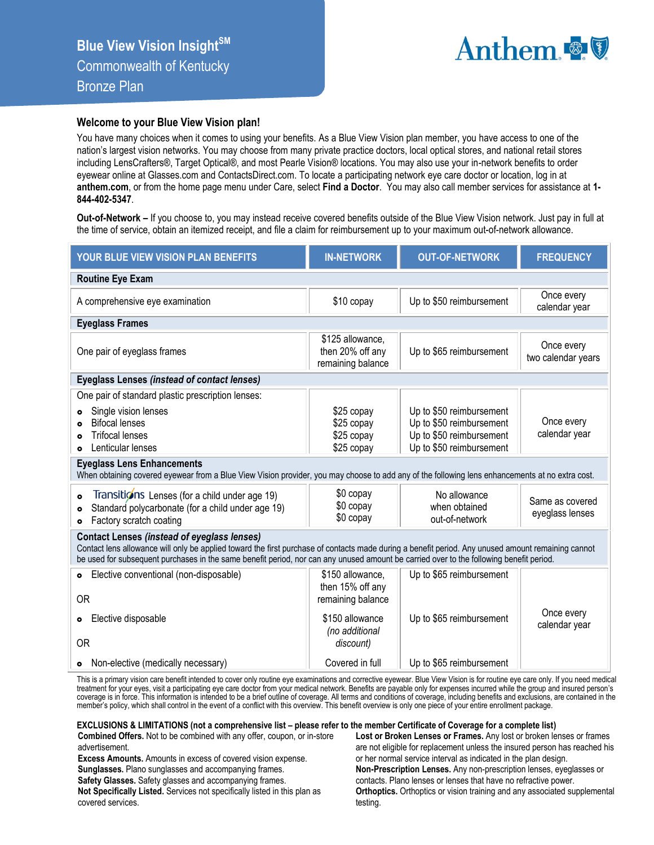

## **Welcome to your Blue View Vision plan!**

You have many choices when it comes to using your benefits. As a Blue View Vision plan member, you have access to one of the nation's largest vision networks. You may choose from many private practice doctors, local optical stores, and national retail stores including LensCrafters®, Target Optical®, and most Pearle Vision® locations. You may also use your in-network benefits to order eyewear online at Glasses.com and ContactsDirect.com. To locate a participating network eye care doctor or location, log in at **anthem.com**, or from the home page menu under Care, select **Find a Doctor**. You may also call member services for assistance at **1- 844-402-5347**.

**Out-of-Network –** If you choose to, you may instead receive covered benefits outside of the Blue View Vision network. Just pay in full at the time of service, obtain an itemized receipt, and file a claim for reimbursement up to your maximum out-of-network allowance.

| YOUR BLUE VIEW VISION PLAN BENEFITS                                                                                                                                                                                                                                                                                                                                                                                                                                                                                                                                                                                                                                                                              | <b>IN-NETWORK</b>                                                                                           | <b>OUT-OF-NETWORK</b>                                                                                                                                           | <b>FREQUENCY</b>                                                  |  |  |  |  |  |
|------------------------------------------------------------------------------------------------------------------------------------------------------------------------------------------------------------------------------------------------------------------------------------------------------------------------------------------------------------------------------------------------------------------------------------------------------------------------------------------------------------------------------------------------------------------------------------------------------------------------------------------------------------------------------------------------------------------|-------------------------------------------------------------------------------------------------------------|-----------------------------------------------------------------------------------------------------------------------------------------------------------------|-------------------------------------------------------------------|--|--|--|--|--|
| <b>Routine Eye Exam</b>                                                                                                                                                                                                                                                                                                                                                                                                                                                                                                                                                                                                                                                                                          |                                                                                                             |                                                                                                                                                                 |                                                                   |  |  |  |  |  |
| A comprehensive eye examination                                                                                                                                                                                                                                                                                                                                                                                                                                                                                                                                                                                                                                                                                  | \$10 copay                                                                                                  | Up to \$50 reimbursement                                                                                                                                        | Once every<br>calendar year                                       |  |  |  |  |  |
| <b>Eyeglass Frames</b>                                                                                                                                                                                                                                                                                                                                                                                                                                                                                                                                                                                                                                                                                           |                                                                                                             |                                                                                                                                                                 |                                                                   |  |  |  |  |  |
| One pair of eyeglass frames                                                                                                                                                                                                                                                                                                                                                                                                                                                                                                                                                                                                                                                                                      | \$125 allowance,<br>then 20% off any<br>remaining balance                                                   | Up to \$65 reimbursement                                                                                                                                        | Once every<br>two calendar years                                  |  |  |  |  |  |
| <b>Eyeglass Lenses (instead of contact lenses)</b>                                                                                                                                                                                                                                                                                                                                                                                                                                                                                                                                                                                                                                                               |                                                                                                             |                                                                                                                                                                 |                                                                   |  |  |  |  |  |
| One pair of standard plastic prescription lenses:<br>Single vision lenses<br><b>Bifocal lenses</b><br><b>Trifocal lenses</b><br>Lenticular lenses<br><b>Eyeglass Lens Enhancements</b><br>When obtaining covered eyewear from a Blue View Vision provider, you may choose to add any of the following lens enhancements at no extra cost.<br>Transitions Lenses (for a child under age 19)<br>$\bullet$<br>Standard polycarbonate (for a child under age 19)<br>Factory scratch coating<br>$\bullet$<br><b>Contact Lenses (instead of eyeglass lenses)</b><br>Contact lens allowance will only be applied toward the first purchase of contacts made during a benefit period. Any unused amount remaining cannot | \$25 copay<br>\$25 copay<br>\$25 copay<br>\$25 copay<br>\$0 copay<br>\$0 copay<br>\$0 copay                 | Up to \$50 reimbursement<br>Up to \$50 reimbursement<br>Up to \$50 reimbursement<br>Up to \$50 reimbursement<br>No allowance<br>when obtained<br>out-of-network | Once every<br>calendar year<br>Same as covered<br>eyeglass lenses |  |  |  |  |  |
| be used for subsequent purchases in the same benefit period, nor can any unused amount be carried over to the following benefit period.                                                                                                                                                                                                                                                                                                                                                                                                                                                                                                                                                                          |                                                                                                             |                                                                                                                                                                 |                                                                   |  |  |  |  |  |
| Elective conventional (non-disposable)<br>$\bullet$<br><b>OR</b><br>Elective disposable<br>$\bullet$<br>0R                                                                                                                                                                                                                                                                                                                                                                                                                                                                                                                                                                                                       | \$150 allowance,<br>then 15% off any<br>remaining balance<br>\$150 allowance<br>(no additional<br>discount) | Up to \$65 reimbursement<br>Up to \$65 reimbursement                                                                                                            | Once every<br>calendar year                                       |  |  |  |  |  |
| • Non-elective (medically necessary)                                                                                                                                                                                                                                                                                                                                                                                                                                                                                                                                                                                                                                                                             | Covered in full                                                                                             | Up to \$65 reimbursement                                                                                                                                        |                                                                   |  |  |  |  |  |

This is a primary vision care benefit intended to cover only routine eye examinations and corrective eyewear. Blue View Vision is for routine eye care only. If you need medical treatment for your eyes, visit a participating eye care doctor from your medical network. Benefits are payable only for expenses incurred while the group and insured person's<br>coverage is in force. This information is inten member's policy, which shall control in the event of a conflict with this overview. This benefit overview is only one piece of your entire enrollment package.

## **EXCLUSIONS & LIMITATIONS (not a comprehensive list – please refer to the member Certificate of Coverage for a complete list)**

**Combined Offers.** Not to be combined with any offer, coupon, or in-store advertisement.

**Excess Amounts.** Amounts in excess of covered vision expense. **Sunglasses.** Plano sunglasses and accompanying frames.

**Safety Glasses.** Safety glasses and accompanying frames.

**Not Specifically Listed.** Services not specifically listed in this plan as covered services.

**Lost or Broken Lenses or Frames.** Any lost or broken lenses or frames are not eligible for replacement unless the insured person has reached his or her normal service interval as indicated in the plan design. **Non-Prescription Lenses.** Any non-prescription lenses, eyeglasses or contacts. Plano lenses or lenses that have no refractive power. **Orthoptics.** Orthoptics or vision training and any associated supplemental testing.